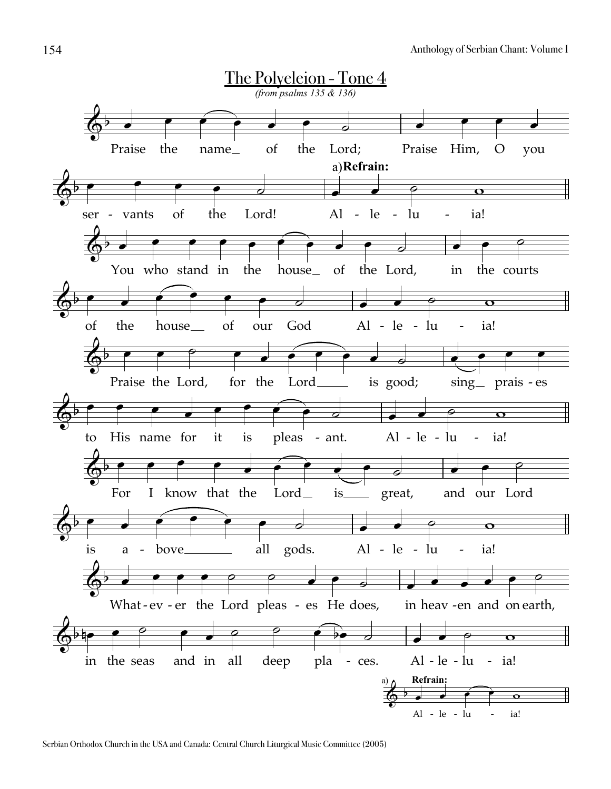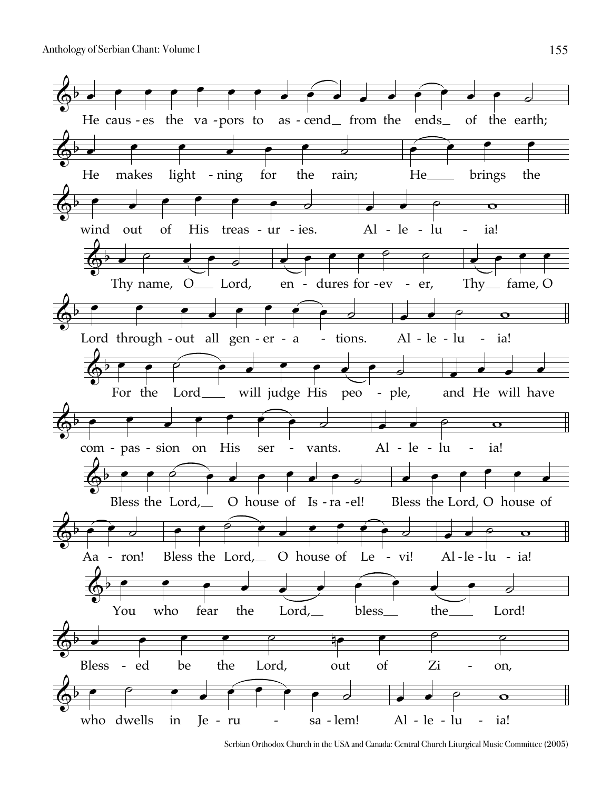Anthology of Serbian Chant: Volume I



Serbian Orthodox Church in the USA and Canada: Central Church Liturgical Music Committee (2005)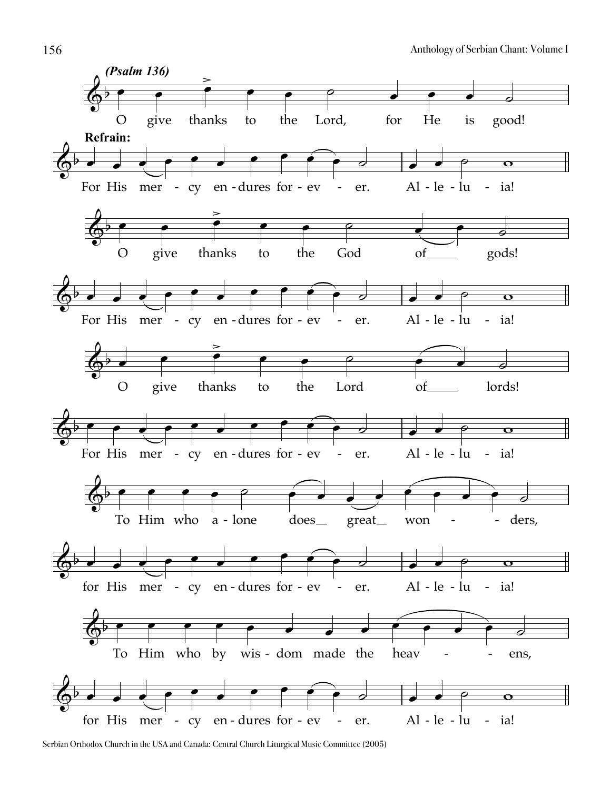

Serbian Orthodox Church in the USA and Canada: Central Church Liturgical Music Committee (2005)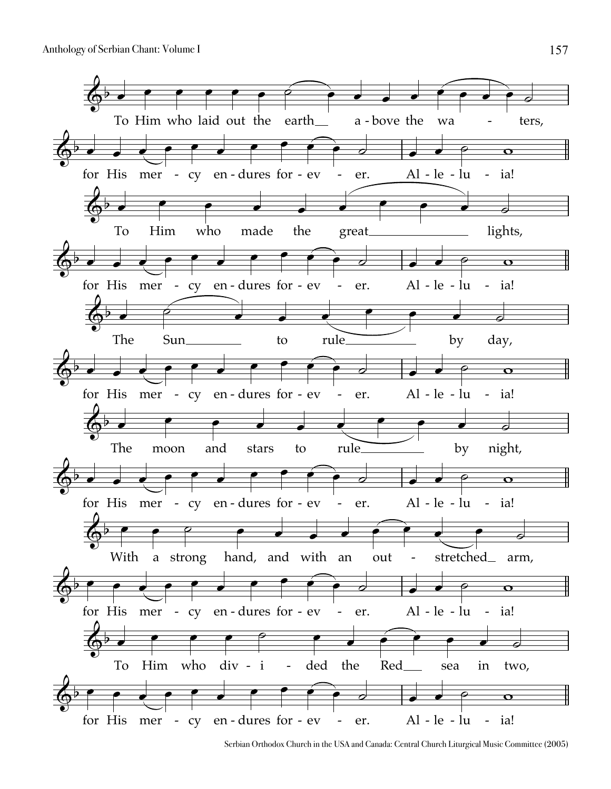

Serbian Orthodox Church in the USA and Canada: Central Church Liturgical Music Committee (2005)